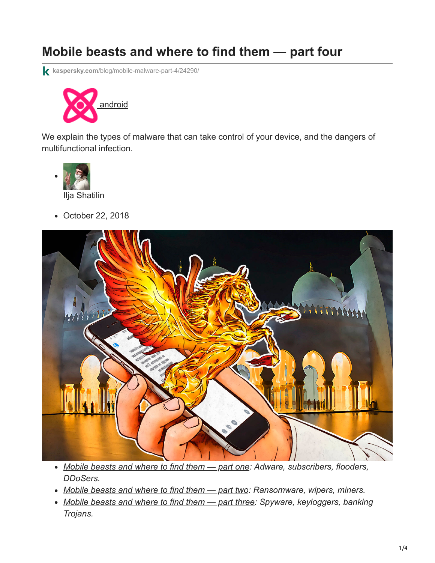# **Mobile beasts and where to find them — part four**

**kaspersky.com**[/blog/mobile-malware-part-4/24290/](https://www.kaspersky.com/blog/mobile-malware-part-4/24290/)



We explain the types of malware that can take control of your device, and the dangers of multifunctional infection.



October 22, 2018



- *[Mobile beasts and where to find them part one](https://www.kaspersky.com/blog/mobile-malware-part-1/22770/): Adware, subscribers, flooders, DDoSers.*
- *[Mobile beasts and where to find them part two:](https://www.kaspersky.com/blog/mobile-malware-part-two/23350/) Ransomware, wipers, miners.*
- *[Mobile beasts and where to find them part three](https://www.kaspersky.com/blog/mobile-malware-part-3/23971/): Spyware, keyloggers, banking Trojans.*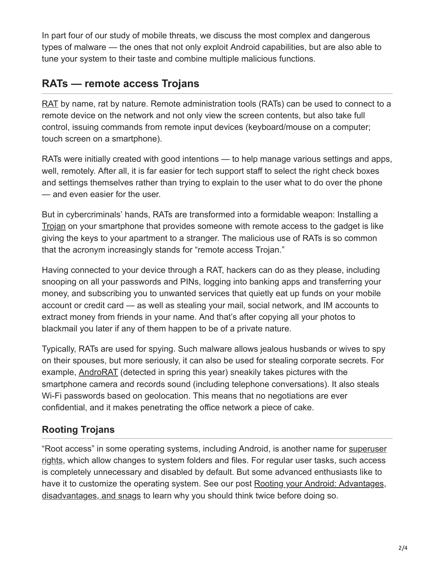In part four of our study of mobile threats, we discuss the most complex and dangerous types of malware — the ones that not only exploit Android capabilities, but are also able to tune your system to their taste and combine multiple malicious functions.

## **RATs — remote access Trojans**

[RAT](https://encyclopedia.kaspersky.com/glossary/rat-remote-access-tools/?utm_source=kdaily&utm_medium=blog&utm_campaign=termin-explanation&_ga=2.76390038.267654168.1540215705-938421168.1494508493) by name, rat by nature. Remote administration tools (RATs) can be used to connect to a remote device on the network and not only view the screen contents, but also take full control, issuing commands from remote input devices (keyboard/mouse on a computer; touch screen on a smartphone).

RATs were initially created with good intentions — to help manage various settings and apps, well, remotely. After all, it is far easier for tech support staff to select the right check boxes and settings themselves rather than trying to explain to the user what to do over the phone — and even easier for the user.

But in cybercriminals' hands, RATs are transformed into a formidable weapon: Installing a [Trojan](https://encyclopedia.kaspersky.com/glossary/trojan/?utm_source=kdaily&utm_medium=blog&utm_campaign=termin-explanation) on your smartphone that provides someone with remote access to the gadget is like giving the keys to your apartment to a stranger. The malicious use of RATs is so common that the acronym increasingly stands for "remote access Trojan."

Having connected to your device through a RAT, hackers can do as they please, including snooping on all your passwords and PINs, logging into banking apps and transferring your money, and subscribing you to unwanted services that quietly eat up funds on your mobile account or credit card — as well as stealing your mail, social network, and IM accounts to extract money from friends in your name. And that's after copying all your photos to blackmail you later if any of them happen to be of a private nature.

Typically, RATs are used for spying. Such malware allows jealous husbands or wives to spy on their spouses, but more seriously, it can also be used for stealing corporate secrets. For example, [AndroRAT](https://www.zdnet.com/article/androrat-new-android-malware-strain-can-hijack-older-phones/) (detected in spring this year) sneakily takes pictures with the smartphone camera and records sound (including telephone conversations). It also steals Wi-Fi passwords based on geolocation. This means that no negotiations are ever confidential, and it makes penetrating the office network a piece of cake.

### **Rooting Trojans**

["Root access" in some operating systems, including Android, is another name for superuser](https://encyclopedia.kaspersky.com/glossary/root-access/?utm_source=kdaily&utm_medium=blog&utm_campaign=termin-explanation) rights, which allow changes to system folders and files. For regular user tasks, such access is completely unnecessary and disabled by default. But some advanced enthusiasts like to [have it to customize the operating system. See our post Rooting your Android: Advantages,](https://www.kaspersky.com/blog/android-root-faq/17135/) disadvantages, and snags to learn why you should think twice before doing so.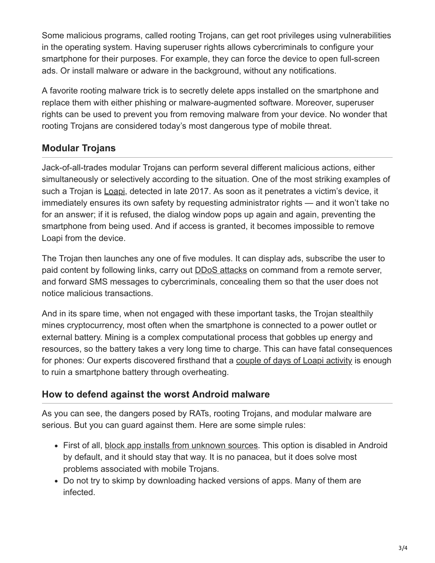Some malicious programs, called rooting Trojans, can get root privileges using vulnerabilities in the operating system. Having superuser rights allows cybercriminals to configure your smartphone for their purposes. For example, they can force the device to open full-screen ads. Or install malware or adware in the background, without any notifications.

A favorite rooting malware trick is to secretly delete apps installed on the smartphone and replace them with either phishing or malware-augmented software. Moreover, superuser rights can be used to prevent you from removing malware from your device. No wonder that rooting Trojans are considered today's most dangerous type of mobile threat.

#### **Modular Trojans**

Jack-of-all-trades modular Trojans can perform several different malicious actions, either simultaneously or selectively according to the situation. One of the most striking examples of such a Trojan is [Loapi,](https://www.kaspersky.com/blog/loapi-trojan/20510/) detected in late 2017. As soon as it penetrates a victim's device, it immediately ensures its own safety by requesting administrator rights — and it won't take no for an answer; if it is refused, the dialog window pops up again and again, preventing the smartphone from being used. And if access is granted, it becomes impossible to remove Loapi from the device.

The Trojan then launches any one of five modules. It can display ads, subscribe the user to paid content by following links, carry out [DDoS attacks](https://encyclopedia.kaspersky.com/glossary/ddos-distributed-denial-of-service-attack/?utm_source=kdaily&utm_medium=blog&utm_campaign=termin-explanation) on command from a remote server, and forward SMS messages to cybercriminals, concealing them so that the user does not notice malicious transactions.

And in its spare time, when not engaged with these important tasks, the Trojan stealthily mines cryptocurrency, most often when the smartphone is connected to a power outlet or external battery. Mining is a complex computational process that gobbles up energy and resources, so the battery takes a very long time to charge. This can have fatal consequences for phones: Our experts discovered firsthand that a [couple of days of Loapi activity](https://securelist.com/jack-of-all-trades/83470/) is enough to ruin a smartphone battery through overheating.

#### **How to defend against the worst Android malware**

As you can see, the dangers posed by RATs, rooting Trojans, and modular malware are serious. But you can guard against them. Here are some simple rules:

- First of all, [block app installs from unknown sources](https://www.kaspersky.com/blog/android-8-permissions-guide/23981/#install-unknown-apps). This option is disabled in Android by default, and it should stay that way. It is no panacea, but it does solve most problems associated with mobile Trojans.
- Do not try to skimp by downloading hacked versions of apps. Many of them are infected.